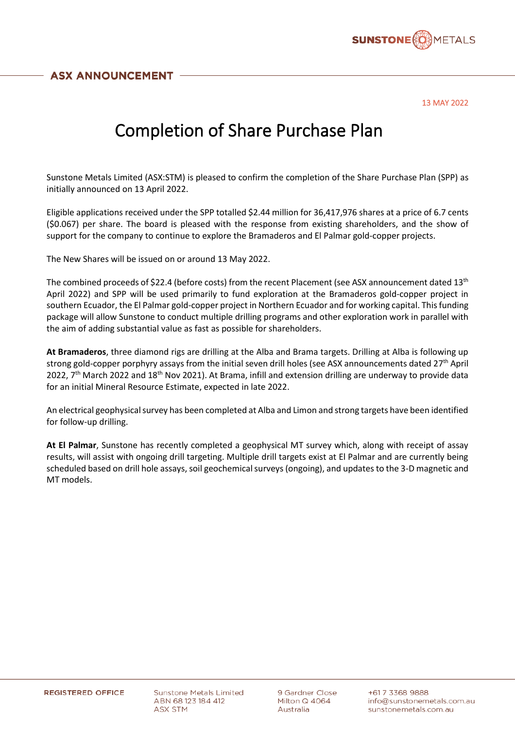

13 MAY 2022

## Completion of Share Purchase Plan

Sunstone Metals Limited (ASX:STM) is pleased to confirm the completion of the Share Purchase Plan (SPP) as initially announced on 13 April 2022.

Eligible applications received under the SPP totalled \$2.44 million for 36,417,976 shares at a price of 6.7 cents (\$0.067) per share. The board is pleased with the response from existing shareholders, and the show of support for the company to continue to explore the Bramaderos and El Palmar gold-copper projects.

The New Shares will be issued on or around 13 May 2022.

The combined proceeds of \$22.4 (before costs) from the recent Placement (see ASX announcement dated 13<sup>th</sup> April 2022) and SPP will be used primarily to fund exploration at the Bramaderos gold-copper project in southern Ecuador, the El Palmar gold-copper project in Northern Ecuador and for working capital. This funding package will allow Sunstone to conduct multiple drilling programs and other exploration work in parallel with the aim of adding substantial value as fast as possible for shareholders.

**At Bramaderos**, three diamond rigs are drilling at the Alba and Brama targets. Drilling at Alba is following up strong gold-copper porphyry assays from the initial seven drill holes (see ASX announcements dated 27th April 2022, 7<sup>th</sup> March 2022 and 18<sup>th</sup> Nov 2021). At Brama, infill and extension drilling are underway to provide data for an initial Mineral Resource Estimate, expected in late 2022.

An electrical geophysical survey has been completed at Alba and Limon and strong targets have been identified for follow-up drilling.

**At El Palmar**, Sunstone has recently completed a geophysical MT survey which, along with receipt of assay results, will assist with ongoing drill targeting. Multiple drill targets exist at El Palmar and are currently being scheduled based on drill hole assays, soil geochemical surveys (ongoing), and updates to the 3-D magnetic and MT models.

**Sunstone Metals Limited** ABN 68 123 184 412 ASX STM

9 Gardner Close Milton Q 4064 Australia

+617 3368 9888 info@sunstonemetals.com.au sunstonemetals.com.au